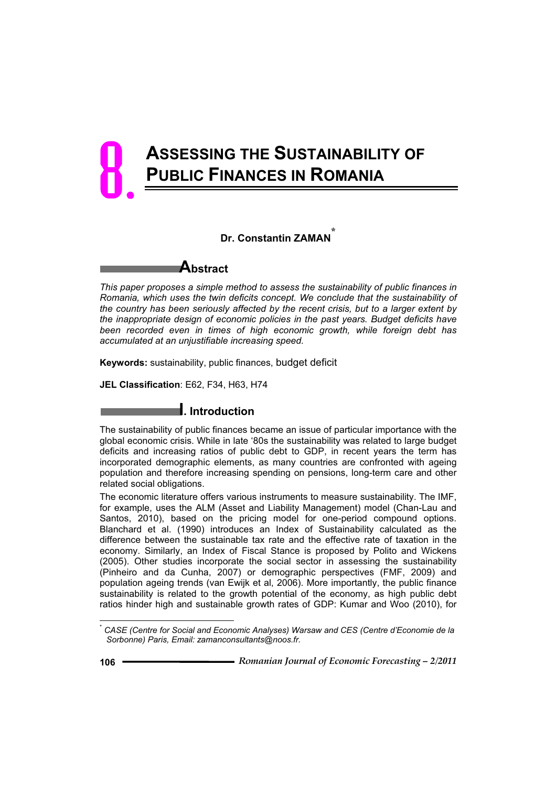# **ASSESSING THE SUSTAINABILITY OF PUBLIC FINANCES IN ROMANIA** 8.

## **Dr. Constantin ZAMAN\***

**Abstract**

*This paper proposes a simple method to assess the sustainability of public finances in Romania, which uses the twin deficits concept. We conclude that the sustainability of the country has been seriously affected by the recent crisis, but to a larger extent by the inappropriate design of economic policies in the past years. Budget deficits have been recorded even in times of high economic growth, while foreign debt has accumulated at an unjustifiable increasing speed.* 

**Keywords:** sustainability, public finances, budget deficit

**JEL Classification**: E62, F34, H63, H74

# **I. Introduction**

The sustainability of public finances became an issue of particular importance with the global economic crisis. While in late '80s the sustainability was related to large budget deficits and increasing ratios of public debt to GDP, in recent years the term has incorporated demographic elements, as many countries are confronted with ageing population and therefore increasing spending on pensions, long-term care and other related social obligations.

The economic literature offers various instruments to measure sustainability. The IMF, for example, uses the ALM (Asset and Liability Management) model (Chan-Lau and Santos, 2010), based on the pricing model for one-period compound options. Blanchard et al. (1990) introduces an Index of Sustainability calculated as the difference between the sustainable tax rate and the effective rate of taxation in the economy. Similarly, an Index of Fiscal Stance is proposed by Polito and Wickens (2005). Other studies incorporate the social sector in assessing the sustainability (Pinheiro and da Cunha, 2007) or demographic perspectives (FMF, 2009) and population ageing trends (van Ewijk et al, 2006). More importantly, the public finance sustainability is related to the growth potential of the economy, as high public debt ratios hinder high and sustainable growth rates of GDP: Kumar and Woo (2010), for

<sup>\*</sup> *CASE (Centre for Social and Economic Analyses) Warsaw and CES (Centre d'Economie de la Sorbonne) Paris, Email: zamanconsultants@noos.fr.*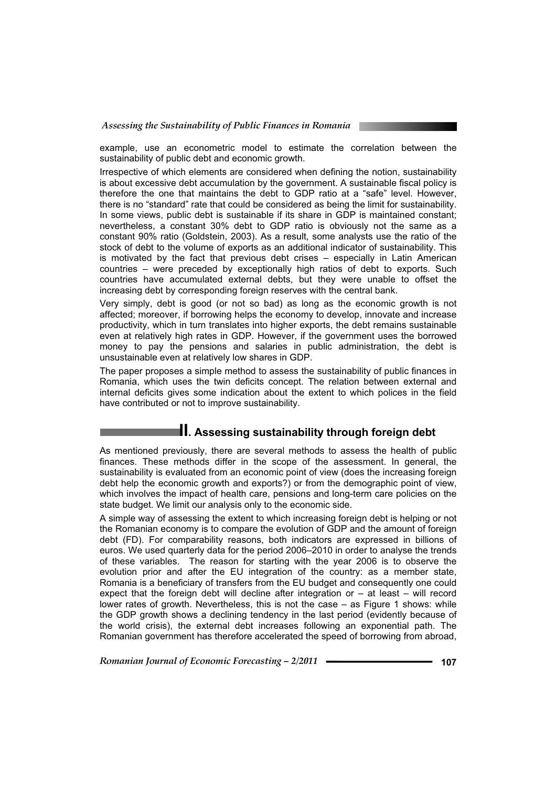example, use an econometric model to estimate the correlation between the sustainability of public debt and economic growth.

Irrespective of which elements are considered when defining the notion, sustainability is about excessive debt accumulation by the government. A sustainable fiscal policy is therefore the one that maintains the debt to GDP ratio at a "safe" level. However, there is no "standard" rate that could be considered as being the limit for sustainability. In some views, public debt is sustainable if its share in GDP is maintained constant; nevertheless, a constant 30% debt to GDP ratio is obviously not the same as a constant 90% ratio (Goldstein, 2003). As a result, some analysts use the ratio of the stock of debt to the volume of exports as an additional indicator of sustainability. This is motivated by the fact that previous debt crises – especially in Latin American countries – were preceded by exceptionally high ratios of debt to exports. Such countries have accumulated external debts, but they were unable to offset the increasing debt by corresponding foreign reserves with the central bank.

Very simply, debt is good (or not so bad) as long as the economic growth is not affected; moreover, if borrowing helps the economy to develop, innovate and increase productivity, which in turn translates into higher exports, the debt remains sustainable even at relatively high rates in GDP. However, if the government uses the borrowed money to pay the pensions and salaries in public administration, the debt is unsustainable even at relatively low shares in GDP.

The paper proposes a simple method to assess the sustainability of public finances in Romania, which uses the twin deficits concept. The relation between external and internal deficits gives some indication about the extent to which polices in the field have contributed or not to improve sustainability.

# **II. Assessing sustainability through foreign debt**

As mentioned previously, there are several methods to assess the health of public finances. These methods differ in the scope of the assessment. In general, the sustainability is evaluated from an economic point of view (does the increasing foreign debt help the economic growth and exports?) or from the demographic point of view, which involves the impact of health care, pensions and long-term care policies on the state budget. We limit our analysis only to the economic side.

A simple way of assessing the extent to which increasing foreign debt is helping or not the Romanian economy is to compare the evolution of GDP and the amount of foreign debt (FD). For comparability reasons, both indicators are expressed in billions of euros. We used quarterly data for the period 2006–2010 in order to analyse the trends of these variables. The reason for starting with the year 2006 is to observe the evolution prior and after the EU integration of the country: as a member state, Romania is a beneficiary of transfers from the EU budget and consequently one could expect that the foreign debt will decline after integration or – at least – will record lower rates of growth. Nevertheless, this is not the case – as Figure 1 shows: while the GDP growth shows a declining tendency in the last period (evidently because of the world crisis), the external debt increases following an exponential path. The Romanian government has therefore accelerated the speed of borrowing from abroad,

*Romanian Journal of Economic Forecasting – 2/2011* **<sup>107</sup>**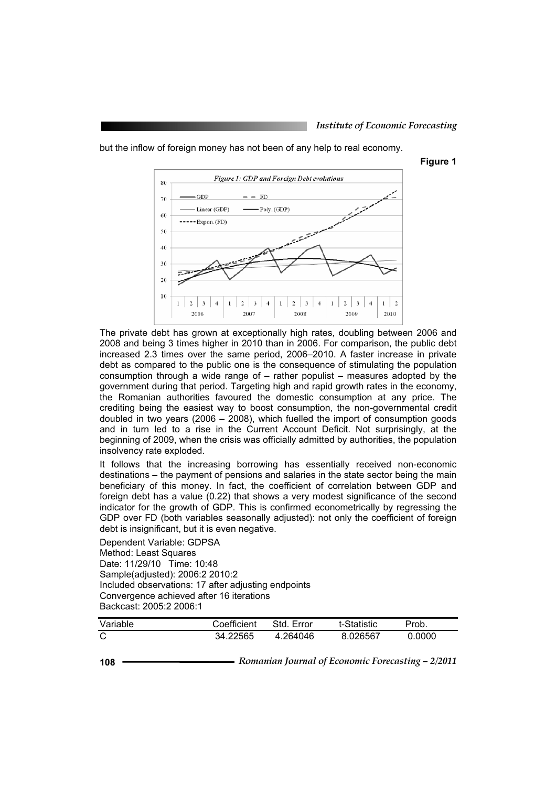**Figure 1** 



but the inflow of foreign money has not been of any help to real economy.

The private debt has grown at exceptionally high rates, doubling between 2006 and

2008 and being 3 times higher in 2010 than in 2006. For comparison, the public debt increased 2.3 times over the same period, 2006–2010. A faster increase in private debt as compared to the public one is the consequence of stimulating the population consumption through a wide range of – rather populist – measures adopted by the government during that period. Targeting high and rapid growth rates in the economy, the Romanian authorities favoured the domestic consumption at any price. The crediting being the easiest way to boost consumption, the non-governmental credit doubled in two years (2006 – 2008), which fuelled the import of consumption goods and in turn led to a rise in the Current Account Deficit. Not surprisingly, at the beginning of 2009, when the crisis was officially admitted by authorities, the population insolvency rate exploded.

It follows that the increasing borrowing has essentially received non-economic destinations – the payment of pensions and salaries in the state sector being the main beneficiary of this money. In fact, the coefficient of correlation between GDP and foreign debt has a value (0.22) that shows a very modest significance of the second indicator for the growth of GDP. This is confirmed econometrically by regressing the GDP over FD (both variables seasonally adjusted): not only the coefficient of foreign debt is insignificant, but it is even negative.

Dependent Variable: GDPSA Method: Least Squares Date: 11/29/10 Time: 10:48 Sample(adjusted): 2006:2 2010:2 Included observations: 17 after adjusting endpoints Convergence achieved after 16 iterations Backcast: 2005:2 2006:1

| Variable | Coefficient | Std. Error | t-Statistic | Prob.  |
|----------|-------------|------------|-------------|--------|
| C        | 34.22565    | 4.264046   | 8.026567    | 0.0000 |

**<sup>108</sup>** *Romanian Journal of Economic Forecasting – 2/2011*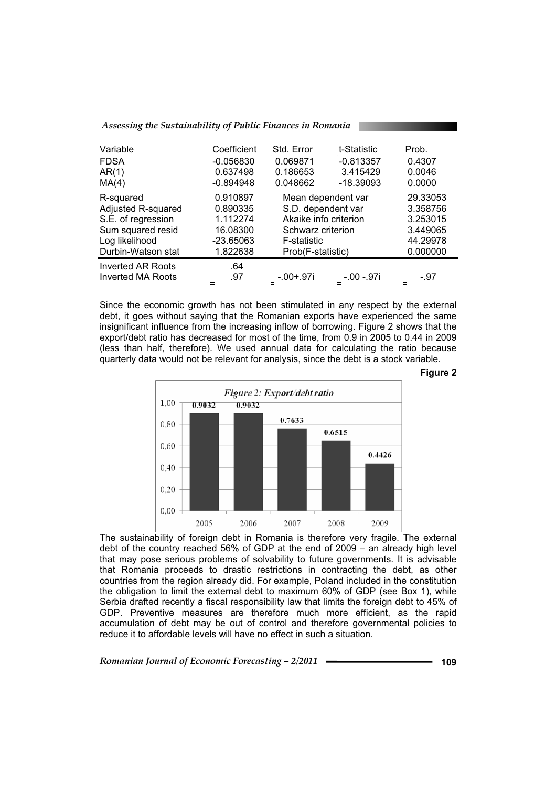| Assessing the Sustainability of Public Finances in Romania |  |  |
|------------------------------------------------------------|--|--|
|                                                            |  |  |

| Variable                 | Coefficient | Std. Error            | t-Statistic | Prob.    |
|--------------------------|-------------|-----------------------|-------------|----------|
| <b>FDSA</b>              | $-0.056830$ | 0.069871              | $-0.813357$ | 0.4307   |
| AR(1)                    | 0.637498    | 0.186653              | 3.415429    | 0.0046   |
| MA(4)                    | $-0.894948$ | 0.048662              | $-18.39093$ | 0.0000   |
| R-squared                | 0.910897    | Mean dependent var    |             | 29.33053 |
| Adjusted R-squared       | 0.890335    | S.D. dependent var    |             | 3.358756 |
| S.E. of regression       | 1.112274    | Akaike info criterion |             | 3.253015 |
| Sum squared resid        | 16.08300    | Schwarz criterion     |             | 3.449065 |
| Log likelihood           | $-23.65063$ | F-statistic           |             | 44.29978 |
| Durbin-Watson stat       | 1.822638    | Prob(F-statistic)     |             | 0.000000 |
| <b>Inverted AR Roots</b> | .64         |                       |             |          |
| <b>Inverted MA Roots</b> | .97         | $-.00+.97i$           | -.00 -.97i  | $-.97$   |

Since the economic growth has not been stimulated in any respect by the external debt, it goes without saying that the Romanian exports have experienced the same insignificant influence from the increasing inflow of borrowing. Figure 2 shows that the export/debt ratio has decreased for most of the time, from 0.9 in 2005 to 0.44 in 2009 (less than half, therefore). We used annual data for calculating the ratio because quarterly data would not be relevant for analysis, since the debt is a stock variable.



The sustainability of foreign debt in Romania is therefore very fragile. The external debt of the country reached 56% of GDP at the end of 2009 – an already high level that may pose serious problems of solvability to future governments. It is advisable that Romania proceeds to drastic restrictions in contracting the debt, as other countries from the region already did. For example, Poland included in the constitution the obligation to limit the external debt to maximum 60% of GDP (see Box 1), while Serbia drafted recently a fiscal responsibility law that limits the foreign debt to 45% of GDP. Preventive measures are therefore much more efficient, as the rapid accumulation of debt may be out of control and therefore governmental policies to reduce it to affordable levels will have no effect in such a situation.

*Romanian Journal of Economic Forecasting – 2/2011* **<sup>109</sup>**

**Figure 2**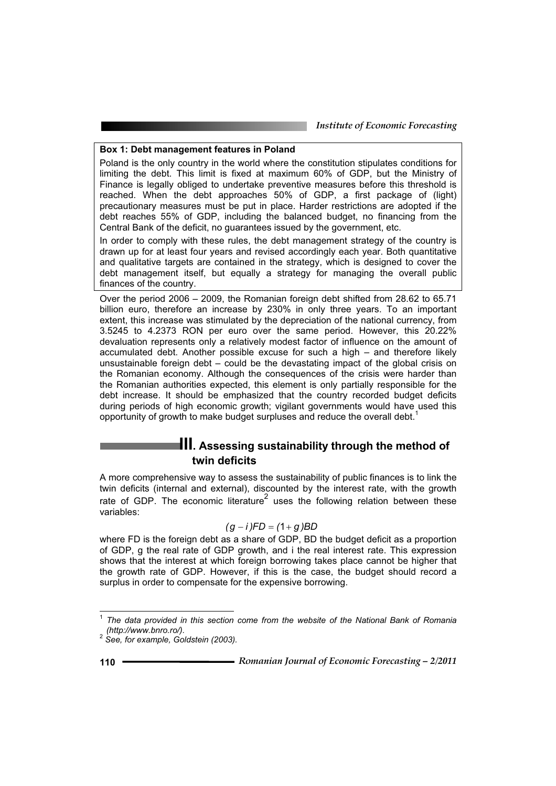### **Box 1: Debt management features in Poland**

Poland is the only country in the world where the constitution stipulates conditions for limiting the debt. This limit is fixed at maximum 60% of GDP, but the Ministry of Finance is legally obliged to undertake preventive measures before this threshold is reached. When the debt approaches 50% of GDP, a first package of (light) precautionary measures must be put in place. Harder restrictions are adopted if the debt reaches 55% of GDP, including the balanced budget, no financing from the Central Bank of the deficit, no guarantees issued by the government, etc.

In order to comply with these rules, the debt management strategy of the country is drawn up for at least four years and revised accordingly each year. Both quantitative and qualitative targets are contained in the strategy, which is designed to cover the debt management itself, but equally a strategy for managing the overall public finances of the country.

Over the period 2006 – 2009, the Romanian foreign debt shifted from 28.62 to 65.71 billion euro, therefore an increase by 230% in only three years. To an important extent, this increase was stimulated by the depreciation of the national currency, from 3.5245 to 4.2373 RON per euro over the same period. However, this 20.22% devaluation represents only a relatively modest factor of influence on the amount of accumulated debt. Another possible excuse for such a high – and therefore likely unsustainable foreign debt – could be the devastating impact of the global crisis on the Romanian economy. Although the consequences of the crisis were harder than the Romanian authorities expected, this element is only partially responsible for the debt increase. It should be emphasized that the country recorded budget deficits during periods of high economic growth; vigilant governments would have used this opportunity of growth to make budget surpluses and reduce the overall debt.<sup>1</sup>

# **III. Assessing sustainability through the method of twin deficits**

A more comprehensive way to assess the sustainability of public finances is to link the twin deficits (internal and external), discounted by the interest rate, with the growth rate of GDP. The economic literature<sup>2</sup> uses the following relation between these variables:

## $(g - i)FD = (1 + g)BD$

where FD is the foreign debt as a share of GDP, BD the budget deficit as a proportion of GDP, g the real rate of GDP growth, and i the real interest rate. This expression shows that the interest at which foreign borrowing takes place cannot be higher that the growth rate of GDP. However, if this is the case, the budget should record a surplus in order to compensate for the expensive borrowing.

The data provided in this section come from the website of the National Bank of Romania (http://www.bnro.ro/).

*<sup>(</sup>http://www.bnro.ro/).* <sup>2</sup> *See, for example, Goldstein (2003).*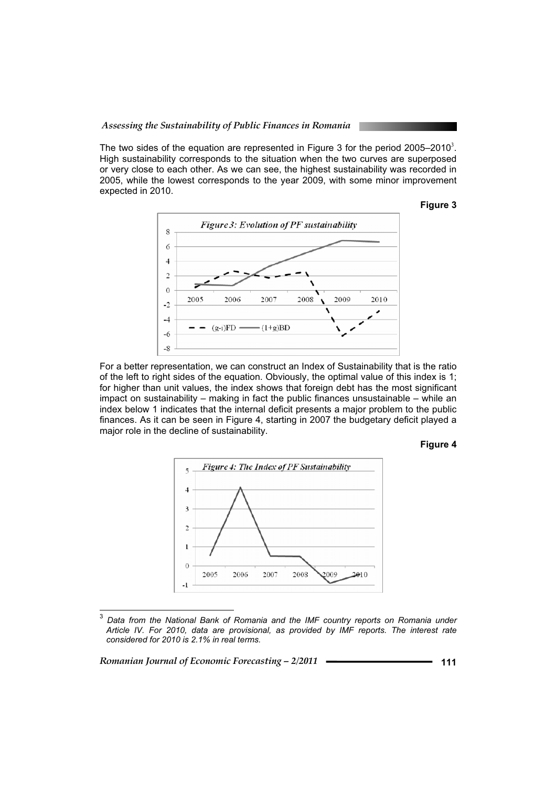*Assessing the Sustainability of Public Finances in Romania* 

The two sides of the equation are represented in Figure 3 for the period 2005–2010<sup>3</sup>. High sustainability corresponds to the situation when the two curves are superposed or very close to each other. As we can see, the highest sustainability was recorded in 2005, while the lowest corresponds to the year 2009, with some minor improvement expected in 2010.





For a better representation, we can construct an Index of Sustainability that is the ratio of the left to right sides of the equation. Obviously, the optimal value of this index is 1; for higher than unit values, the index shows that foreign debt has the most significant impact on sustainability – making in fact the public finances unsustainable – while an index below 1 indicates that the internal deficit presents a major problem to the public finances. As it can be seen in Figure 4, starting in 2007 the budgetary deficit played a major role in the decline of sustainability.

#### **Figure 4**



<sup>3</sup>  *Data from the National Bank of Romania and the IMF country reports on Romania under Article IV. For 2010, data are provisional, as provided by IMF reports. The interest rate considered for 2010 is 2.1% in real terms.* 

*Romanian Journal of Economic Forecasting – 2/2011* **<sup>111</sup>**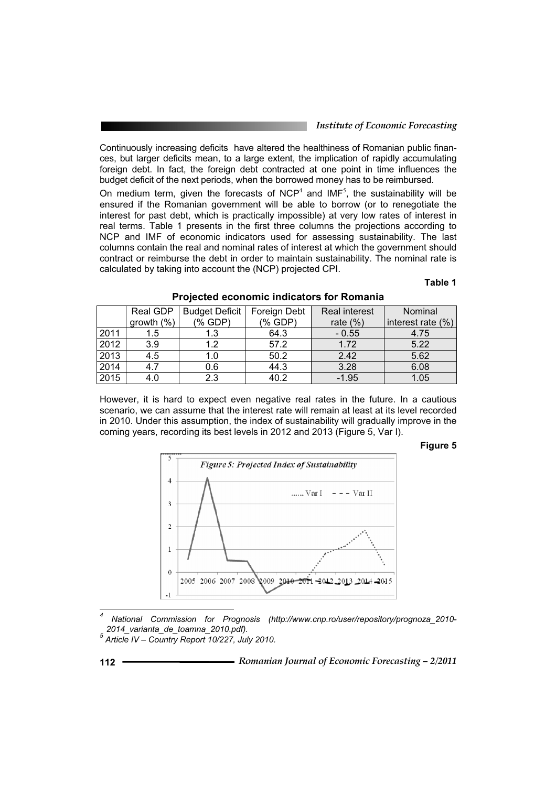Continuously increasing deficits have altered the healthiness of Romanian public finances, but larger deficits mean, to a large extent, the implication of rapidly accumulating foreign debt. In fact, the foreign debt contracted at one point in time influences the budget deficit of the next periods, when the borrowed money has to be reimbursed.

On medium term, given the forecasts of NCP<sup>4</sup> and IMF<sup>5</sup>, the sustainability will be ensured if the Romanian government will be able to borrow (or to renegotiate the interest for past debt, which is practically impossible) at very low rates of interest in real terms. Table 1 presents in the first three columns the projections according to NCP and IMF of economic indicators used for assessing sustainability. The last columns contain the real and nominal rates of interest at which the government should contract or reimburse the debt in order to maintain sustainability. The nominal rate is calculated by taking into account the (NCP) projected CPI.

## **Table 1**

|      | Real GDP      | Budget Deficit     | Foreign Debt     | <b>Real interest</b> | Nominal           |
|------|---------------|--------------------|------------------|----------------------|-------------------|
|      | growth $(\%)$ | $(% )^{2}(Y)$ GDP) | $(% )^{2}(x, B)$ | rate $(\%)$          | interest rate (%) |
| 2011 | 1.5           | 1.3                | 64.3             | $-0.55$              | 4.75              |
| 2012 | 3.9           | 1.2                | 57.2             | 1.72                 | 5.22              |
| 2013 | 4.5           | 1.0                | 50.2             | 2.42                 | 5.62              |
| 2014 | 4.7           | 0.6                | 44.3             | 3.28                 | 6.08              |
| 2015 | 4.0           | 2.3                | 40.2             | $-1.95$              | 1.05              |

#### **Projected economic indicators for Romania**

However, it is hard to expect even negative real rates in the future. In a cautious scenario, we can assume that the interest rate will remain at least at its level recorded in 2010. Under this assumption, the index of sustainability will gradually improve in the coming years, recording its best levels in 2012 and 2013 (Figure 5, Var I).

**Figure 5** 



*4 National Commission for Prognosis (http://www.cnp.ro/user/repository/prognoza\_2010- 2014\_varianta\_de\_toamna\_2010.pdf). 5*

*Article IV – Country Report 10/227, July 2010.*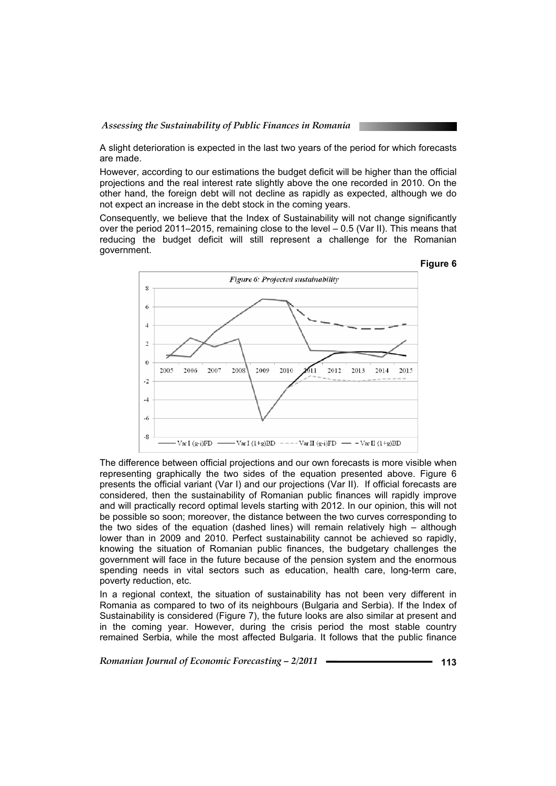A slight deterioration is expected in the last two years of the period for which forecasts are made.

However, according to our estimations the budget deficit will be higher than the official projections and the real interest rate slightly above the one recorded in 2010. On the other hand, the foreign debt will not decline as rapidly as expected, although we do not expect an increase in the debt stock in the coming years.

Consequently, we believe that the Index of Sustainability will not change significantly over the period 2011–2015, remaining close to the level – 0.5 (Var II). This means that reducing the budget deficit will still represent a challenge for the Romanian government.



The difference between official projections and our own forecasts is more visible when representing graphically the two sides of the equation presented above. Figure 6 presents the official variant (Var I) and our projections (Var II). If official forecasts are considered, then the sustainability of Romanian public finances will rapidly improve and will practically record optimal levels starting with 2012. In our opinion, this will not be possible so soon; moreover, the distance between the two curves corresponding to the two sides of the equation (dashed lines) will remain relatively high – although lower than in 2009 and 2010. Perfect sustainability cannot be achieved so rapidly, knowing the situation of Romanian public finances, the budgetary challenges the government will face in the future because of the pension system and the enormous spending needs in vital sectors such as education, health care, long-term care, poverty reduction, etc.

In a regional context, the situation of sustainability has not been very different in Romania as compared to two of its neighbours (Bulgaria and Serbia). If the Index of Sustainability is considered (Figure 7), the future looks are also similar at present and in the coming year. However, during the crisis period the most stable country remained Serbia, while the most affected Bulgaria. It follows that the public finance

*Romanian Journal of Economic Forecasting – 2/2011* **<sup>113</sup>**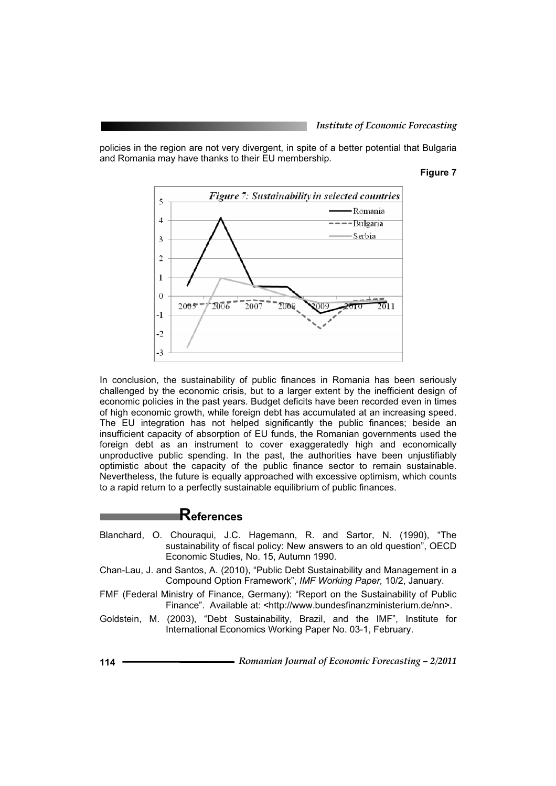policies in the region are not very divergent, in spite of a better potential that Bulgaria and Romania may have thanks to their EU membership.

#### **Figure 7**



In conclusion, the sustainability of public finances in Romania has been seriously challenged by the economic crisis, but to a larger extent by the inefficient design of economic policies in the past years. Budget deficits have been recorded even in times of high economic growth, while foreign debt has accumulated at an increasing speed. The EU integration has not helped significantly the public finances; beside an insufficient capacity of absorption of EU funds, the Romanian governments used the foreign debt as an instrument to cover exaggeratedly high and economically unproductive public spending. In the past, the authorities have been unjustifiably optimistic about the capacity of the public finance sector to remain sustainable. Nevertheless, the future is equally approached with excessive optimism, which counts to a rapid return to a perfectly sustainable equilibrium of public finances.

## **References**

- Blanchard, O. Chouraqui, J.C. Hagemann, R. and Sartor, N. (1990), "The sustainability of fiscal policy: New answers to an old question", OECD Economic Studies*,* No. 15, Autumn 1990.
- Chan-Lau, J. and Santos, A. (2010), "Public Debt Sustainability and Management in a Compound Option Framework", *IMF Working Paper,* 10/2, January.
- FMF (Federal Ministry of Finance, Germany): "Report on the Sustainability of Public Finance". Available at: <http://www.bundesfinanzministerium.de/nn>.
- Goldstein, M. (2003), "Debt Sustainability, Brazil, and the IMF", Institute for International Economics Working Paper No. 03-1, February.
- **<sup>114</sup>** *Romanian Journal of Economic Forecasting 2/2011*